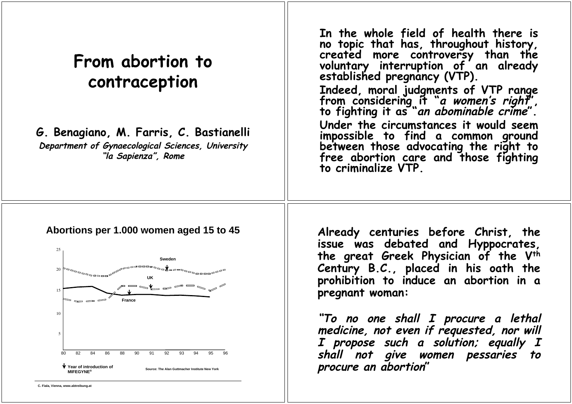# **From abortion to contraception**

**G. Benagiano, M. Farris, C. Bastianelli**

**Department of Gynaecological Sciences, University "la Sapienza", Rome**

**In the whole field of health there is no topic that has, throughout history, created more controversy than the voluntary interruption of an already established pregnancy (VTP). Indeed, moral judgments of VTP range from considering it "a women's right", to fighting it as "an abominable crime". Under the circumstances it would seem impossible to find a common ground between those advocating the right to free abortion care and those fighting to criminalize VTP.**

### **Abortions per 1.000 women aged 15 to 45**



**Already centuries before Christ, the issue was debated and Hyppocrates, the great Greek Physician of the Vth Century B.C., placed in his oath the prohibition to induce an abortion in a pregnant woman:**

**"To no one shall I procure a lethal medicine, not even if requested, nor will I propose such a solution; equally I shall not give women pessaries to procure an abortion"**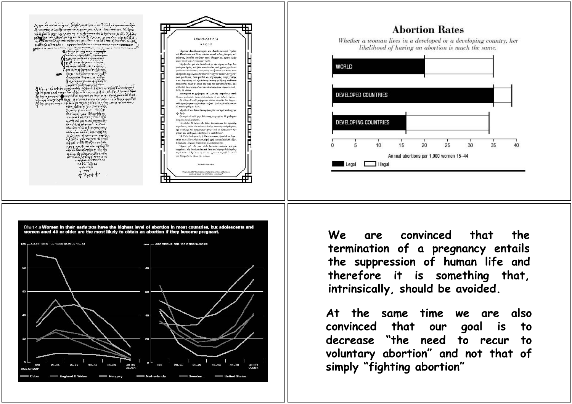



**We are convinced that the termination of a pregnancy entails the suppression of human life and therefore it is something that, intrinsically, should be avoided.**

**At the same time we are also convinced that our goal is to decrease "the need to recur to voluntary abortion" and not that of simply "fighting abortion"**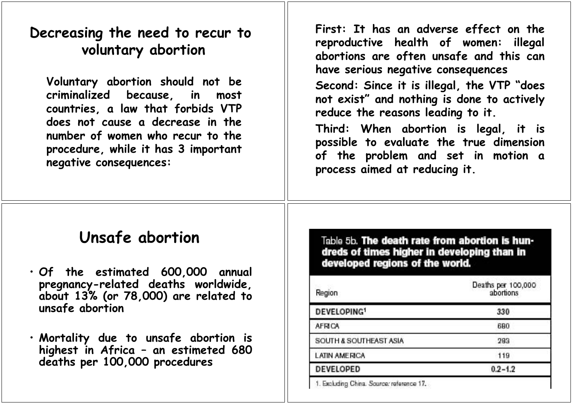### **Decreasing the need to recur to voluntary abortion**

**Voluntary abortion should not be criminalized because, in most countries, a law that forbids VTP does not cause a decrease in the number of women who recur to the procedure, while it has 3 important negative consequences:**

**First: It has an adverse effect on the reproductive health of women: illegal abortions are often unsafe and this can have serious negative consequences**

**Second: Since it is illegal, the VTP "does not exist" and nothing is done to actively reduce the reasons leading to it.**

**Third: When abortion is legal, it is possible to evaluate the true dimension of the problem and set in motion a process aimed at reducing it.**

### **Unsafe abortion**

• **Of the estimated 600,000 annual pregnancy-related deaths worldwide, about 13% (or 78,000) are related to unsafe abortion**

• **Mortality due to unsafe abortion is highest in Africa – an estimeted 680 deaths per 100,000 procedures**

Table 5b. The death rate from abortion is hundreds of times higher in developing than in developed regions of the world.

| Region                  | Deaths per 100,000<br>abortions |
|-------------------------|---------------------------------|
| DEVELOPING <sup>1</sup> | 330                             |
| <b>AFRICA</b>           | 680                             |
| SOUTH & SOUTHEAST ASIA  | 283                             |
| <b>LATIN AMERICA</b>    | 119                             |
| <b>DEVELOPED</b>        | $0.2 - 1.2$                     |
|                         |                                 |

1. Excluding China. Source: reference 17.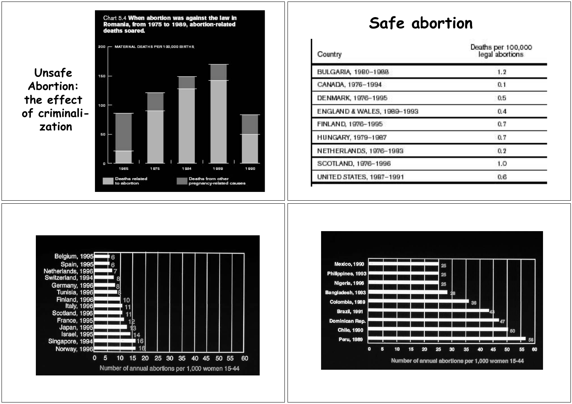

### **Safe abortion**

| Country                    | Deaths per 100,000<br>legal abortions |
|----------------------------|---------------------------------------|
| BULGARIA, 1980-1988        | 1.2                                   |
| CANADA, 1976-1994          | 0.1                                   |
| DENMARK, 1976-1995         | 0.5                                   |
| ENGLAND & WALES, 1989-1993 | 0.4                                   |
| FINLAND, 1976-1995         | 0.7                                   |
| HUNGARY, 1979-1987         | 0.7                                   |
| NETHERLANDS, 1976-1993     | 0.2                                   |
| SCOTLAND, 1976-1996        | 1.0                                   |
| UNITED STATES, 1987-1991   | 0.6                                   |



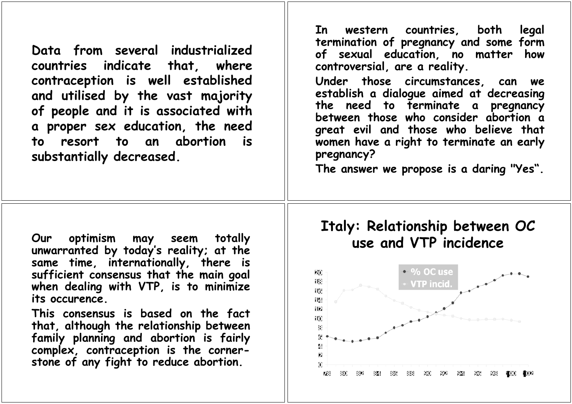**Data from several industrialized countries indicate that, where contraception is well established and utilised by the vast majority of people and it is associated with a proper sex education, the need to resort to an abortion is substantially decreased.**

**In western countries, both legal termination of pregnancy and some form of sexual education, no matter how controversial, are a reality.**

**Under those circumstances, can we establish a dialogue aimed at decreasing the need to terminate a pregnancy between those who consider abortion a great evil and those who believe that women have a right to terminate an early pregnancy?**

**The answer we propose is a daring "Yes".**

**Our optimism may seem totally unwarranted by today's reality; at the same time, internationally, there is sufficient consensus that the main goal when dealing with VTP, is to minimize its occurence.**

**This consensus is based on the fact that, although the relationship between family planning and abortion is fairly complex, contraception is the cornerstone of any fight to reduce abortion.**

### **Italy: Relationship between OC use and VTP incidence**

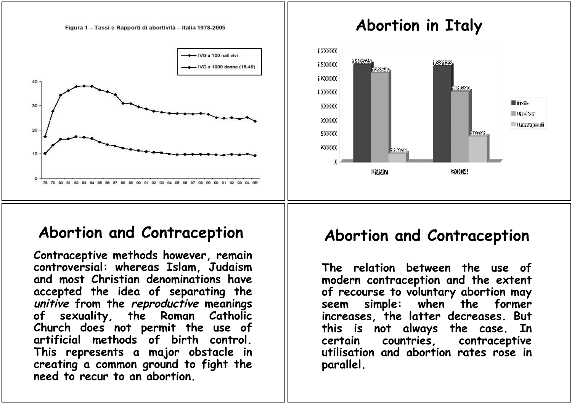

# **Abortion and Contraception**

**Contraceptive methods however, remain controversial: whereas Islam, Judaism and most Christian denominations have accepted the idea of separating the unitive from the reproductive meanings of sexuality, the Roman Catholic Church does not permit the use of artificial methods of birth control. This represents a major obstacle in creating a common ground to fight the need to recur to an abortion.**

### **Abortion and Contraception**

**The relation between the use of modern contraception and the extent of recourse to voluntary abortion may seem simple: when the former increases, the latter decreases. But this is not always the case. In certain countries, contraceptive utilisation and abortion rates rose in parallel.**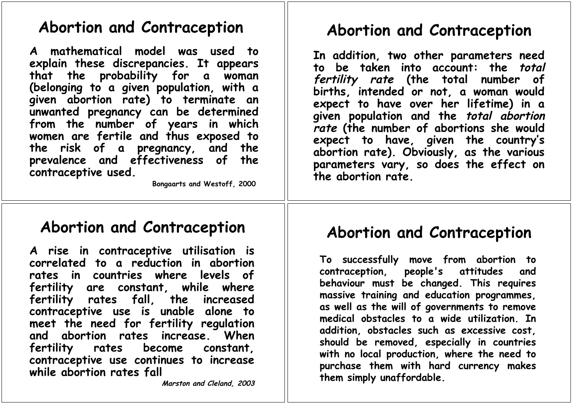### **Abortion and Contraception**

**A mathematical model was used to explain these discrepancies. It appears that the probability for a woman (belonging to a given population, with a given abortion rate) to terminate an unwanted pregnancy can be determined from the number of years in which women are fertile and thus exposed to the risk of a pregnancy, and the prevalence and effectiveness of the contraceptive used.**

 **Bongaarts and Westoff, 2000**

### **Abortion and Contraception**

**In addition, two other parameters need to be taken into account: the total fertility rate (the total number of births, intended or not, a woman would expect to have over her lifetime) in a given population and the total abortion rate (the number of abortions she would expect to have, given the country's abortion rate). Obviously, as the various parameters vary, so does the effect on the abortion rate.**

**A rise in contraceptive utilisation is correlated to a reduction in abortion rates in countries where levels of fertility are constant, while where fertility rates fall, the increased contraceptive use is unable alone to meet the need for fertility regulation and abortion rates increase. When fertility rates become constant, contraceptive use continues to increase while abortion rates fall**

**Marston and Cleland, 2003**

# **Abortion and Contraception Abortion and Contraception**

**To successfully move from abortion to contraception, people's attitudes and behaviour must be changed. This requires massive training and education programmes, as well as the will of governments to remove medical obstacles to a wide utilization. In addition, obstacles such as excessive cost, should be removed, especially in countries with no local production, where the need to purchase them with hard currency makes them simply unaffordable.**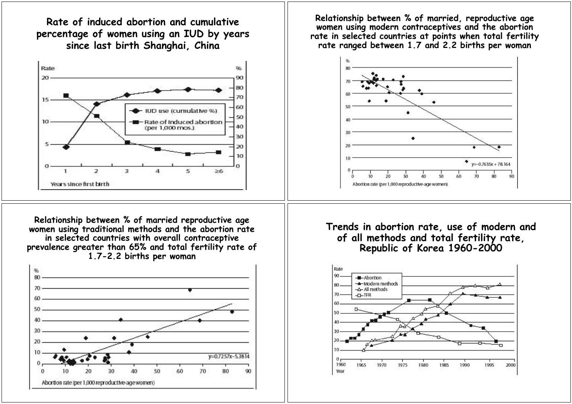**Rate of induced abortion and cumulative percentage of women using an IUD by years since last birth Shanghai, China**



**Relationship between % of married reproductive age women using traditional methods and the abortion rate in selected countries with overall contraceptive prevalence greater than 65% and total fertility rate of 1.7-2.2 births per woman**



**Relationship between % of married, reproductive age women using modern contraceptives and the abortion rate in selected countries at points when total fertility rate ranged between 1.7 and 2.2 births per woman**



### **Trends in abortion rate, use of modern and of all methods and total fertility rate, Republic of Korea 1960-2000**

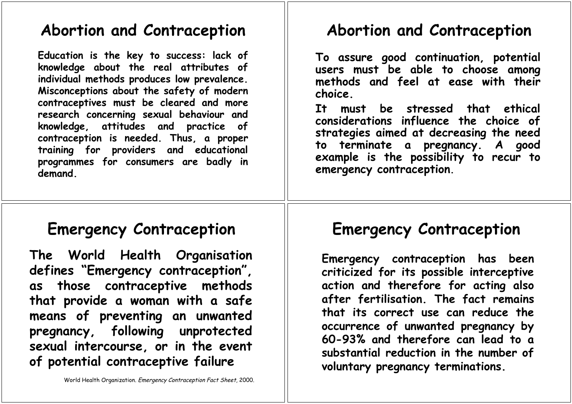### **Abortion and Contraception**

**Education is the key to success: lack of knowledge about the real attributes of individual methods produces low prevalence. Misconceptions about the safety of modern contraceptives must be cleared and more research concerning sexual behaviour and knowledge, attitudes and practice of contraception is needed. Thus, a proper training for providers and educational programmes for consumers are badly in demand.**

# **Abortion and Contraception**

**To assure good continuation, potential users must be able to choose among methods and feel at ease with their choice.**

**It must be stressed that ethical considerations influence the choice of strategies aimed at decreasing the need to terminate a pregnancy. A good example is the possibility to recur to emergency contraception.**

## **Emergency Contraception**

**The World Health Organisation defines "Emergency contraception", as those contraceptive methods that provide a woman with a safe means of preventing an unwanted pregnancy, following unprotected sexual intercourse, or in the event of potential contraceptive failure**

# **Emergency Contraception**

**Emergency contraception has been criticized for its possible interceptive action and therefore for acting also after fertilisation. The fact remains that its correct use can reduce the occurrence of unwanted pregnancy by 60-93% and therefore can lead to a substantial reduction in the number of voluntary pregnancy terminations.**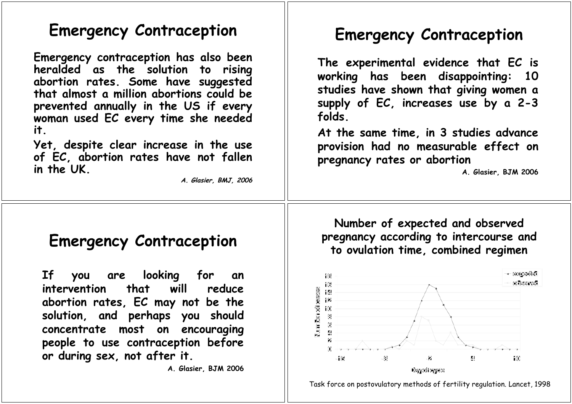### **Emergency Contraception**

**Emergency contraception has also been heralded as the solution to rising abortion rates. Some have suggested that almost a million abortions could be prevented annually in the US if every woman used EC every time she needed it.**

**Yet, despite clear increase in the use of EC, abortion rates have not fallen in the UK.**

**A. Glasier, BMJ, 2006**

## **Emergency Contraception**

**The experimental evidence that EC is working has been disappointing: 10 studies have shown that giving women a supply of EC, increases use by a 2-3 folds.**

**At the same time, in 3 studies advance provision had no measurable effect on pregnancy rates or abortion**

**A. Glasier, BJM 2006**

### **Emergency Contraception**

**If you are looking for an intervention that will reduce abortion rates, EC may not be the solution, and perhaps you should concentrate most on encouraging people to use contraception before or during sex, not after it.**

**A. Glasier, BJM 2006**

**Number of expected and observed pregnancy according to intercourse and to ovulation time, combined regimen**



Task force on postovulatory methods of fertility regulation. Lancet, 1998